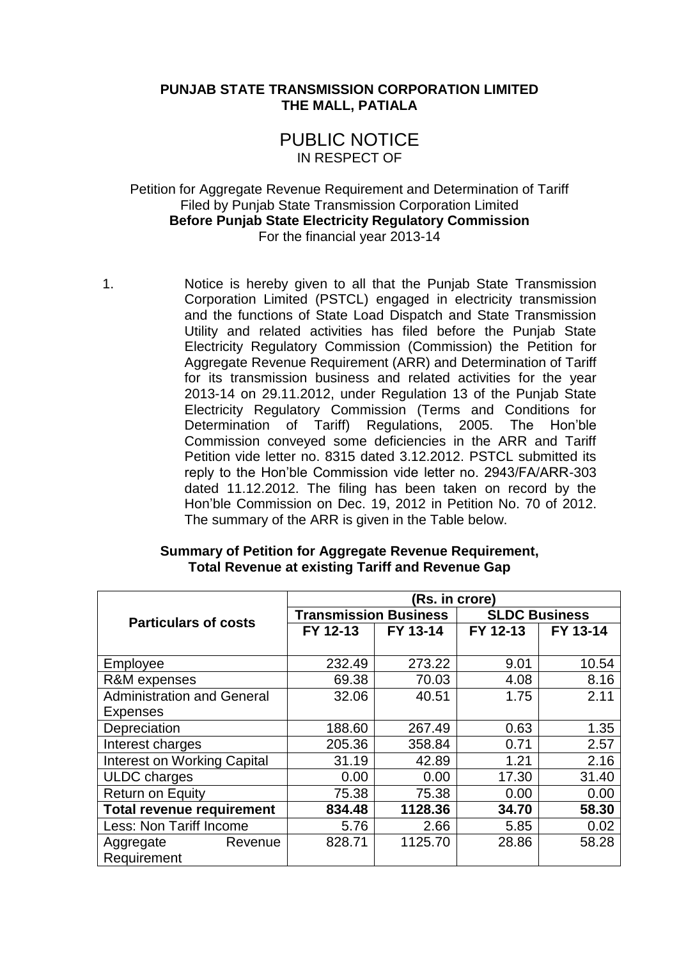## **PUNJAB STATE TRANSMISSION CORPORATION LIMITED THE MALL, PATIALA**

## PUBLIC NOTICE IN RESPECT OF

## Petition for Aggregate Revenue Requirement and Determination of Tariff Filed by Punjab State Transmission Corporation Limited **Before Punjab State Electricity Regulatory Commission** For the financial year 2013-14

1. Notice is hereby given to all that the Punjab State Transmission Corporation Limited (PSTCL) engaged in electricity transmission and the functions of State Load Dispatch and State Transmission Utility and related activities has filed before the Punjab State Electricity Regulatory Commission (Commission) the Petition for Aggregate Revenue Requirement (ARR) and Determination of Tariff for its transmission business and related activities for the year 2013-14 on 29.11.2012, under Regulation 13 of the Punjab State Electricity Regulatory Commission (Terms and Conditions for Determination of Tariff) Regulations, 2005. The Hon'ble Commission conveyed some deficiencies in the ARR and Tariff Petition vide letter no. 8315 dated 3.12.2012. PSTCL submitted its reply to the Hon'ble Commission vide letter no. 2943/FA/ARR-303 dated 11.12.2012. The filing has been taken on record by the Hon'ble Commission on Dec. 19, 2012 in Petition No. 70 of 2012. The summary of the ARR is given in the Table below.

|                                    | (Rs. in crore)               |          |                      |          |  |
|------------------------------------|------------------------------|----------|----------------------|----------|--|
| <b>Particulars of costs</b>        | <b>Transmission Business</b> |          | <b>SLDC Business</b> |          |  |
|                                    | FY 12-13                     | FY 13-14 | FY 12-13             | FY 13-14 |  |
|                                    |                              |          |                      |          |  |
| Employee                           | 232.49                       | 273.22   | 9.01                 | 10.54    |  |
| R&M expenses                       | 69.38                        | 70.03    | 4.08                 | 8.16     |  |
| <b>Administration and General</b>  | 32.06                        | 40.51    | 1.75                 | 2.11     |  |
| <b>Expenses</b>                    |                              |          |                      |          |  |
| Depreciation                       | 188.60                       | 267.49   | 0.63                 | 1.35     |  |
| Interest charges                   | 205.36                       | 358.84   | 0.71                 | 2.57     |  |
| <b>Interest on Working Capital</b> | 31.19                        | 42.89    | 1.21                 | 2.16     |  |
| <b>ULDC</b> charges                | 0.00                         | 0.00     | 17.30                | 31.40    |  |
| <b>Return on Equity</b>            | 75.38                        | 75.38    | 0.00                 | 0.00     |  |
| <b>Total revenue requirement</b>   | 834.48                       | 1128.36  | 34.70                | 58.30    |  |
| Less: Non Tariff Income            | 5.76                         | 2.66     | 5.85                 | 0.02     |  |
| Revenue<br>Aggregate               | 828.71                       | 1125.70  | 28.86                | 58.28    |  |
| Requirement                        |                              |          |                      |          |  |

## **Summary of Petition for Aggregate Revenue Requirement, Total Revenue at existing Tariff and Revenue Gap**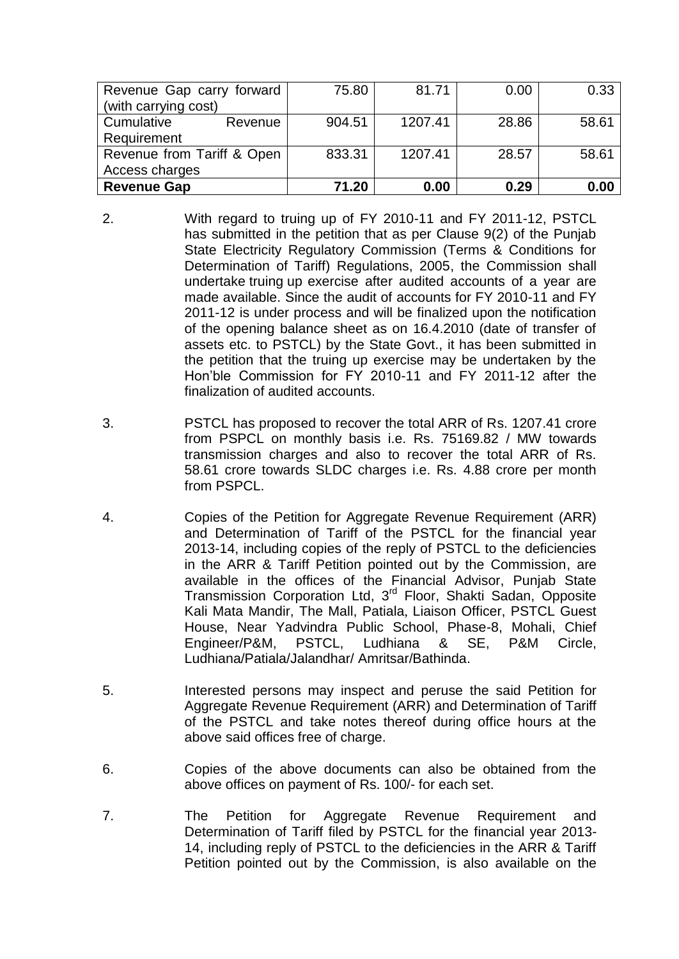| Revenue Gap carry forward  | 75.80  | 81.71   | 0.00  | 0.33  |
|----------------------------|--------|---------|-------|-------|
| (with carrying cost)       |        |         |       |       |
| Cumulative<br>Revenue      | 904.51 | 1207.41 | 28.86 | 58.61 |
| Requirement                |        |         |       |       |
| Revenue from Tariff & Open | 833.31 | 1207.41 | 28.57 | 58.61 |
| Access charges             |        |         |       |       |
| <b>Revenue Gap</b>         | 71.20  | 0.00    | 0.29  | 0.00  |

- 2. With regard to truing up of FY 2010-11 and FY 2011-12, PSTCL has submitted in the petition that as per Clause 9(2) of the Punjab State Electricity Regulatory Commission (Terms & Conditions for Determination of Tariff) Regulations, 2005, the Commission shall undertake truing up exercise after audited accounts of a year are made available. Since the audit of accounts for FY 2010-11 and FY 2011-12 is under process and will be finalized upon the notification of the opening balance sheet as on 16.4.2010 (date of transfer of assets etc. to PSTCL) by the State Govt., it has been submitted in the petition that the truing up exercise may be undertaken by the Hon'ble Commission for FY 2010-11 and FY 2011-12 after the finalization of audited accounts.
- 3. PSTCL has proposed to recover the total ARR of Rs. 1207.41 crore from PSPCL on monthly basis i.e. Rs. 75169.82 / MW towards transmission charges and also to recover the total ARR of Rs. 58.61 crore towards SLDC charges i.e. Rs. 4.88 crore per month from PSPCL.
- 4. Copies of the Petition for Aggregate Revenue Requirement (ARR) and Determination of Tariff of the PSTCL for the financial year 2013-14, including copies of the reply of PSTCL to the deficiencies in the ARR & Tariff Petition pointed out by the Commission, are available in the offices of the Financial Advisor, Punjab State Transmission Corporation Ltd, 3<sup>rd</sup> Floor, Shakti Sadan, Opposite Kali Mata Mandir, The Mall, Patiala, Liaison Officer, PSTCL Guest House, Near Yadvindra Public School, Phase-8, Mohali, Chief Engineer/P&M, PSTCL, Ludhiana & SE, P&M Circle, Ludhiana/Patiala/Jalandhar/ Amritsar/Bathinda.
- 5. Interested persons may inspect and peruse the said Petition for Aggregate Revenue Requirement (ARR) and Determination of Tariff of the PSTCL and take notes thereof during office hours at the above said offices free of charge.
- 6. Copies of the above documents can also be obtained from the above offices on payment of Rs. 100/- for each set.
- 7. The Petition for Aggregate Revenue Requirement and Determination of Tariff filed by PSTCL for the financial year 2013- 14, including reply of PSTCL to the deficiencies in the ARR & Tariff Petition pointed out by the Commission, is also available on the